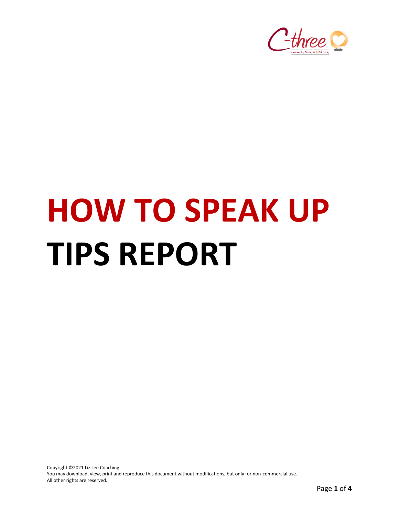

# **HOW TO SPEAK UP TIPS REPORT**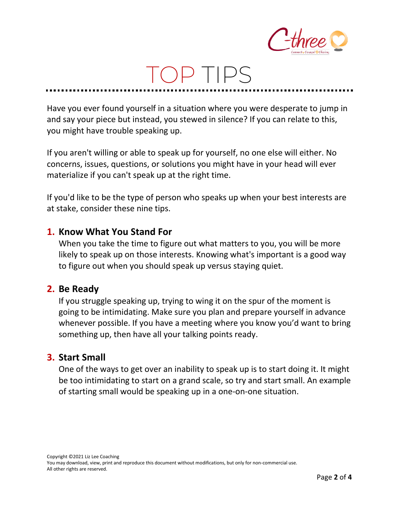

## TOP TIPS

Have you ever found yourself in a situation where you were desperate to jump in and say your piece but instead, you stewed in silence? If you can relate to this, you might have trouble speaking up.

If you aren't willing or able to speak up for yourself, no one else will either. No concerns, issues, questions, or solutions you might have in your head will ever materialize if you can't speak up at the right time.

If you'd like to be the type of person who speaks up when your best interests are at stake, consider these nine tips.

#### **1. Know What You Stand For**

When you take the time to figure out what matters to you, you will be more likely to speak up on those interests. Knowing what's important is a good way to figure out when you should speak up versus staying quiet.

#### **2. Be Ready**

If you struggle speaking up, trying to wing it on the spur of the moment is going to be intimidating. Make sure you plan and prepare yourself in advance whenever possible. If you have a meeting where you know you'd want to bring something up, then have all your talking points ready.

#### **3. Start Small**

One of the ways to get over an inability to speak up is to start doing it. It might be too intimidating to start on a grand scale, so try and start small. An example of starting small would be speaking up in a one-on-one situation.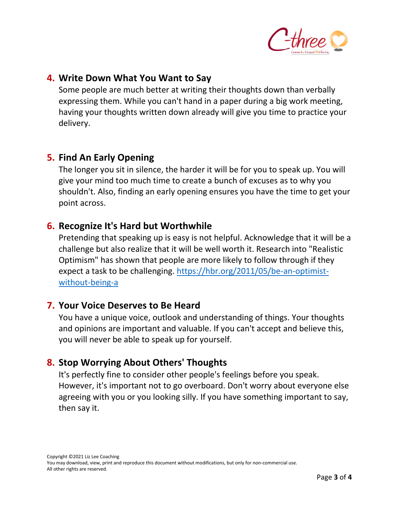

#### **4. Write Down What You Want to Say**

Some people are much better at writing their thoughts down than verbally expressing them. While you can't hand in a paper during a big work meeting, having your thoughts written down already will give you time to practice your delivery.

#### **5. Find An Early Opening**

The longer you sit in silence, the harder it will be for you to speak up. You will give your mind too much time to create a bunch of excuses as to why you shouldn't. Also, finding an early opening ensures you have the time to get your point across.

#### **6. Recognize It's Hard but Worthwhile**

Pretending that speaking up is easy is not helpful. Acknowledge that it will be a challenge but also realize that it will be well worth it. Research into "Realistic Optimism" has shown that people are more likely to follow through if they expect a task to be challenging. [https://hbr.org/2011/05/be-an-optimist](https://hbr.org/2011/05/be-an-optimist-without-being-a)[without-being-a](https://hbr.org/2011/05/be-an-optimist-without-being-a)

#### **7. Your Voice Deserves to Be Heard**

You have a unique voice, outlook and understanding of things. Your thoughts and opinions are important and valuable. If you can't accept and believe this, you will never be able to speak up for yourself.

#### **8. Stop Worrying About Others' Thoughts**

It's perfectly fine to consider other people's feelings before you speak. However, it's important not to go overboard. Don't worry about everyone else agreeing with you or you looking silly. If you have something important to say, then say it.